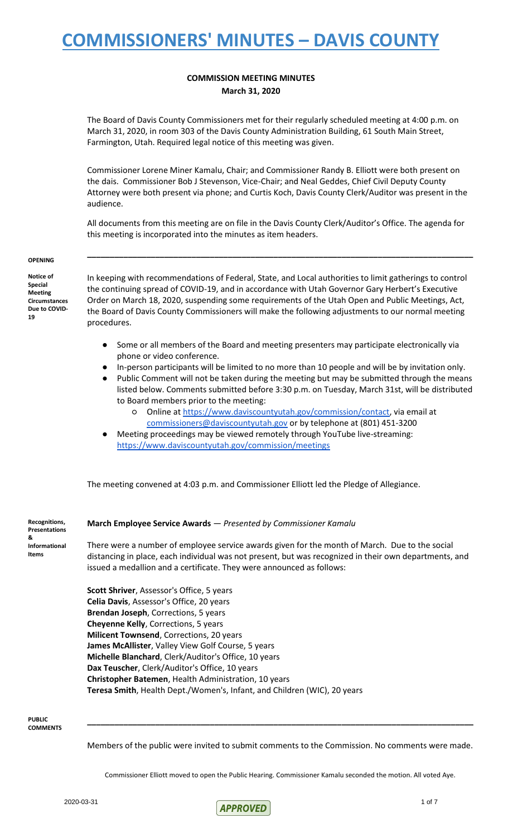### **COMMISSION MEETING MINUTES March 31, 2020**

The Board of Davis County Commissioners met for their regularly scheduled meeting at 4:00 p.m. on March 31, 2020, in room 303 of the Davis County Administration Building, 61 South Main Street, Farmington, Utah. Required legal notice of this meeting was given.

Commissioner Lorene Miner Kamalu, Chair; and Commissioner Randy B. Elliott were both present on the dais. Commissioner Bob J Stevenson, Vice-Chair; and Neal Geddes, Chief Civil Deputy County Attorney were both present via phone; and Curtis Koch, Davis County Clerk/Auditor was present in the audience.

All documents from this meeting are on file in the Davis County Clerk/Auditor's Office. The agenda for this meeting is incorporated into the minutes as item headers.

**\_\_\_\_\_\_\_\_\_\_\_\_\_\_\_\_\_\_\_\_\_\_\_\_\_\_\_\_\_\_\_\_\_\_\_\_\_\_\_\_\_\_\_\_\_\_\_\_\_\_\_\_\_\_\_\_\_\_\_\_\_\_\_\_\_\_\_\_\_\_\_\_\_\_\_\_\_\_\_\_\_\_\_\_\_**

#### **OPENING**

**Notice of Special Meeting Circumstances Due to COVID-19**

In keeping with recommendations of Federal, State, and Local authorities to limit gatherings to control the continuing spread of COVID-19, and in accordance with Utah Governor Gary Herbert's Executive Order on March 18, 2020, suspending some requirements of the Utah Open and Public Meetings, Act, the Board of Davis County Commissioners will make the following adjustments to our normal meeting procedures.

- Some or all members of the Board and meeting presenters may participate electronically via phone or video conference.
- In-person participants will be limited to no more than 10 people and will be by invitation only.
- Public Comment will not be taken during the meeting but may be submitted through the means listed below. Comments submitted before 3:30 p.m. on Tuesday, March 31st, will be distributed to Board members prior to the meeting:
	- o Online at [https://www.daviscountyutah.gov/commission/contact,](https://www.daviscountyutah.gov/commission/contact) via email at [commissioners@daviscountyutah.gov](mailto:commissioners@daviscountyutah.gov) or by telephone at (801) 451-3200
	- Meeting proceedings may be viewed remotely through YouTube live-streaming: <https://www.daviscountyutah.gov/commission/meetings>

The meeting convened at 4:03 p.m. and Commissioner Elliott led the Pledge of Allegiance.

**Presentations Informational Items**

**Recognitions,** 

**&** 

**March Employee Service Awards** — *Presented by Commissioner Kamalu* 

There were a number of employee service awards given for the month of March. Due to the social distancing in place, each individual was not present, but was recognized in their own departments, and issued a medallion and a certificate. They were announced as follows:

**Scott Shriver**, Assessor's Office, 5 years **Celia Davis**, Assessor's Office, 20 years **Brendan Joseph**, Corrections, 5 years **Cheyenne Kelly**, Corrections, 5 years **Milicent Townsend**, Corrections, 20 years **James McAllister**, Valley View Golf Course, 5 years **Michelle Blanchard**, Clerk/Auditor's Office, 10 years **Dax Teuscher**, Clerk/Auditor's Office, 10 years **Christopher Batemen**, Health Administration, 10 years **Teresa Smith**, Health Dept./Women's, Infant, and Children (WIC), 20 years

**PUBLIC COMMENTS**

Members of the public were invited to submit comments to the Commission. No comments were made.

**\_\_\_\_\_\_\_\_\_\_\_\_\_\_\_\_\_\_\_\_\_\_\_\_\_\_\_\_\_\_\_\_\_\_\_\_\_\_\_\_\_\_\_\_\_\_\_\_\_\_\_\_\_\_\_\_\_\_\_\_\_\_\_\_\_\_\_\_\_\_\_\_\_\_\_\_\_\_\_\_\_\_\_\_\_**

Commissioner Elliott moved to open the Public Hearing. Commissioner Kamalu seconded the motion. All voted Aye.

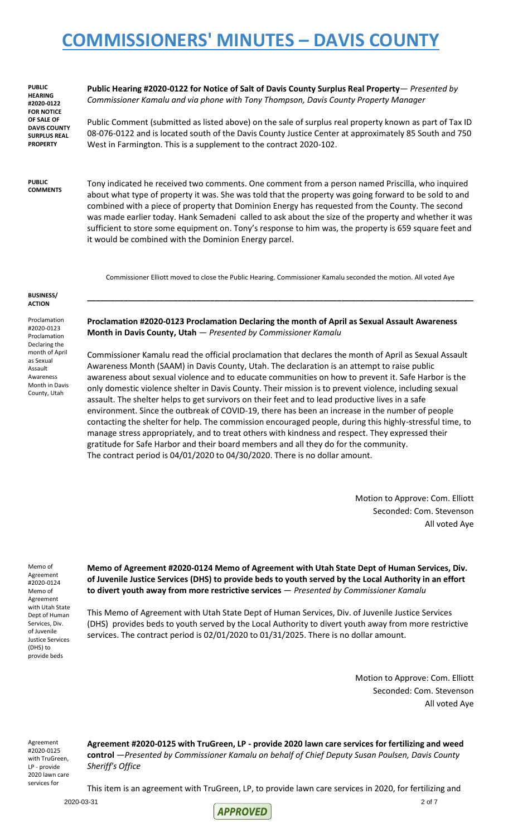**PUBLIC HEARING #2020-0122 FOR NOTICE OF SALE OF DAVIS COUNTY SURPLUS REAL PROPERTY** 

**Public Hearing #2020-0122 for Notice of Salt of Davis County Surplus Real Property**— *Presented by Commissioner Kamalu and via phone with Tony Thompson, Davis County Property Manager*

Public Comment (submitted as listed above) on the sale of surplus real property known as part of Tax ID 08-076-0122 and is located south of the Davis County Justice Center at approximately 85 South and 750 West in Farmington. This is a supplement to the contract 2020-102.

**PUBLIC COMMENTS**

Tony indicated he received two comments. One comment from a person named Priscilla, who inquired about what type of property it was. She was told that the property was going forward to be sold to and combined with a piece of property that Dominion Energy has requested from the County. The second was made earlier today. Hank Semadeni called to ask about the size of the property and whether it was sufficient to store some equipment on. Tony's response to him was, the property is 659 square feet and it would be combined with the Dominion Energy parcel.

Commissioner Elliott moved to close the Public Hearing. Commissioner Kamalu seconded the motion. All voted Aye

**\_\_\_\_\_\_\_\_\_\_\_\_\_\_\_\_\_\_\_\_\_\_\_\_\_\_\_\_\_\_\_\_\_\_\_\_\_\_\_\_\_\_\_\_\_\_\_\_\_\_\_\_\_\_\_\_\_\_\_\_\_\_\_\_\_\_\_\_\_\_\_\_\_\_\_\_\_\_\_\_\_\_\_\_\_**

#### **BUSINESS/ ACTION**

Proclamation #2020-0123 Proclamation Declaring the month of April as Sexual Assault Awareness Month in Davis County, Utah

**Proclamation #2020-0123 Proclamation Declaring the month of April as Sexual Assault Awareness Month in Davis County, Utah** — *Presented by Commissioner Kamalu*

Commissioner Kamalu read the official proclamation that declares the month of April as Sexual Assault Awareness Month (SAAM) in Davis County, Utah. The declaration is an attempt to raise public awareness about sexual violence and to educate communities on how to prevent it. Safe Harbor is the only domestic violence shelter in Davis County. Their mission is to prevent violence, including sexual assault. The shelter helps to get survivors on their feet and to lead productive lives in a safe environment. Since the outbreak of COVID-19, there has been an increase in the number of people contacting the shelter for help. The commission encouraged people, during this highly-stressful time, to manage stress appropriately, and to treat others with kindness and respect. They expressed their gratitude for Safe Harbor and their board members and all they do for the community. The contract period is 04/01/2020 to 04/30/2020. There is no dollar amount.

> Motion to Approve: Com. Elliott Seconded: Com. Stevenson All voted Aye

Memo of Agreement #2020-0124 Memo of Agreement with Utah State Dept of Human Services, Div. of Juvenile Justice Services (DHS) to provide beds

**Memo of Agreement #2020-0124 Memo of Agreement with Utah State Dept of Human Services, Div. of Juvenile Justice Services (DHS) to provide beds to youth served by the Local Authority in an effort to divert youth away from more restrictive services** — *Presented by Commissioner Kamalu*

This Memo of Agreement with Utah State Dept of Human Services, Div. of Juvenile Justice Services (DHS) provides beds to youth served by the Local Authority to divert youth away from more restrictive services. The contract period is 02/01/2020 to 01/31/2025. There is no dollar amount.

> Motion to Approve: Com. Elliott Seconded: Com. Stevenson All voted Aye

Agreement #2020-0125 with TruGreen, LP - provide 2020 lawn care services for

**Agreement #2020-0125 with TruGreen, LP - provide 2020 lawn care services for fertilizing and weed control** —*Presented by Commissioner Kamalu on behalf of Chief Deputy Susan Poulsen, Davis County Sheriff's Office*

This item is an agreement with TruGreen, LP, to provide lawn care services in 2020, for fertilizing and

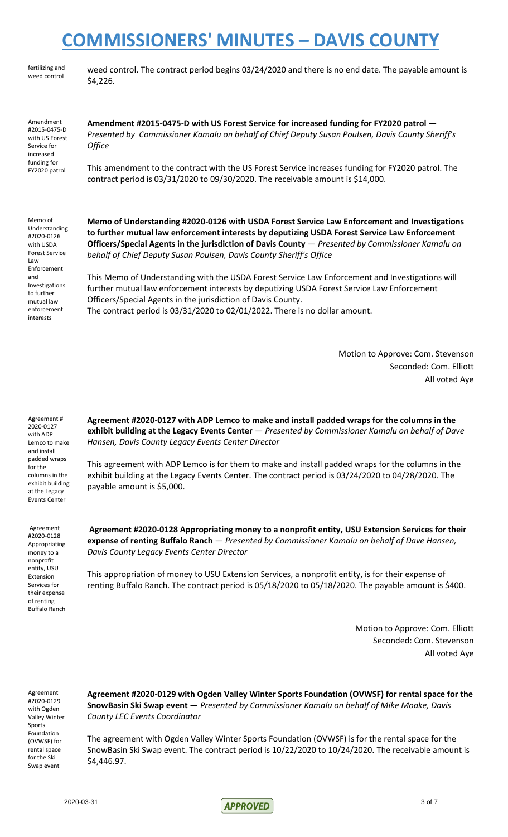fertilizing and weed control

weed control. The contract period begins 03/24/2020 and there is no end date. The payable amount is \$4,226.

Amendment #2015-0475-D with US Forest Service for increased funding for FY2020 patrol

**Amendment #2015-0475-D with US Forest Service for increased funding for FY2020 patrol** — *Presented by Commissioner Kamalu on behalf of Chief Deputy Susan Poulsen, Davis County Sheriff's Office*

This amendment to the contract with the US Forest Service increases funding for FY2020 patrol. The contract period is 03/31/2020 to 09/30/2020. The receivable amount is \$14,000.

Memo of Understanding #2020-0126 with USDA Forest Service Law Enforcement and Investigations to further mutual law enforcement interests

**Memo of Understanding #2020-0126 with USDA Forest Service Law Enforcement and Investigations to further mutual law enforcement interests by deputizing USDA Forest Service Law Enforcement Officers/Special Agents in the jurisdiction of Davis County** — *Presented by Commissioner Kamalu on behalf of Chief Deputy Susan Poulsen, Davis County Sheriff's Office*

This Memo of Understanding with the USDA Forest Service Law Enforcement and Investigations will further mutual law enforcement interests by deputizing USDA Forest Service Law Enforcement Officers/Special Agents in the jurisdiction of Davis County. The contract period is 03/31/2020 to 02/01/2022. There is no dollar amount.

> Motion to Approve: Com. Stevenson Seconded: Com. Elliott All voted Aye

Agreement # 2020-0127 with ADP Lemco to make and install padded wraps for the columns in the exhibit building at the Legacy Events Center

Agreement #2020-0128 Appropriating money to a nonprofit entity, USU Extension Services for their expense of renting Buffalo Ranch **Agreement #2020-0127 with ADP Lemco to make and install padded wraps for the columns in the exhibit building at the Legacy Events Center** — *Presented by Commissioner Kamalu on behalf of Dave Hansen, Davis County Legacy Events Center Director*

This agreement with ADP Lemco is for them to make and install padded wraps for the columns in the exhibit building at the Legacy Events Center. The contract period is 03/24/2020 to 04/28/2020. The payable amount is \$5,000.

**Agreement #2020-0128 Appropriating money to a nonprofit entity, USU Extension Services for their expense of renting Buffalo Ranch** — *Presented by Commissioner Kamalu on behalf of Dave Hansen, Davis County Legacy Events Center Director*

This appropriation of money to USU Extension Services, a nonprofit entity, is for their expense of renting Buffalo Ranch. The contract period is 05/18/2020 to 05/18/2020. The payable amount is \$400.

> Motion to Approve: Com. Elliott Seconded: Com. Stevenson All voted Aye

Agreement #2020-0129 with Ogden Valley Winter Sports Foundation (OVWSF) for rental space for the Ski Swap event

**Agreement #2020-0129 with Ogden Valley Winter Sports Foundation (OVWSF) for rental space for the SnowBasin Ski Swap event** — *Presented by Commissioner Kamalu on behalf of Mike Moake, Davis County LEC Events Coordinator*

The agreement with Ogden Valley Winter Sports Foundation (OVWSF) is for the rental space for the SnowBasin Ski Swap event. The contract period is 10/22/2020 to 10/24/2020. The receivable amount is \$4,446.97.

2020-03-31 3 of 7  $ADBONED$  3 of 7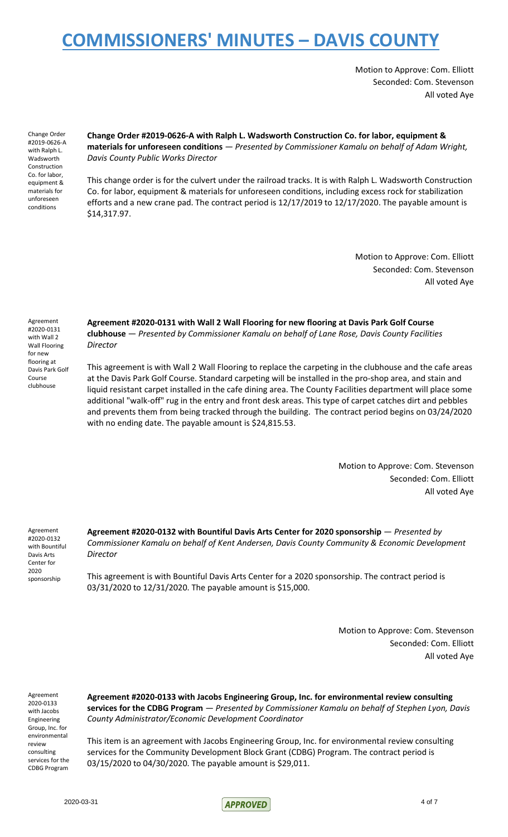Motion to Approve: Com. Elliott Seconded: Com. Stevenson All voted Aye

Change Order #2019-0626-A with Ralph L. Wadsworth Construction Co. for labor, equipment & materials for unforeseen conditions

**Change Order #2019-0626-A with Ralph L. Wadsworth Construction Co. for labor, equipment & materials for unforeseen conditions** — *Presented by Commissioner Kamalu on behalf of Adam Wright, Davis County Public Works Director*

This change order is for the culvert under the railroad tracks. It is with Ralph L. Wadsworth Construction Co. for labor, equipment & materials for unforeseen conditions, including excess rock for stabilization efforts and a new crane pad. The contract period is 12/17/2019 to 12/17/2020. The payable amount is \$14,317.97.

> Motion to Approve: Com. Elliott Seconded: Com. Stevenson All voted Aye

Agreement #2020-0131 with Wall 2 Wall Flooring for new flooring at Davis Park Golf Course clubhouse

**Agreement #2020-0131 with Wall 2 Wall Flooring for new flooring at Davis Park Golf Course clubhouse** — *Presented by Commissioner Kamalu on behalf of Lane Rose, Davis County Facilities Director*

This agreement is with Wall 2 Wall Flooring to replace the carpeting in the clubhouse and the cafe areas at the Davis Park Golf Course. Standard carpeting will be installed in the pro-shop area, and stain and liquid resistant carpet installed in the cafe dining area. The County Facilities department will place some additional "walk-off" rug in the entry and front desk areas. This type of carpet catches dirt and pebbles and prevents them from being tracked through the building. The contract period begins on 03/24/2020 with no ending date. The payable amount is \$24,815.53.

> Motion to Approve: Com. Stevenson Seconded: Com. Elliott All voted Aye

Agreement #2020-0132 with Bountiful Davis Arts Center for 2020 sponsorship

**Agreement #2020-0132 with Bountiful Davis Arts Center for 2020 sponsorship** — *Presented by Commissioner Kamalu on behalf of Kent Andersen, Davis County Community & Economic Development Director*

This agreement is with Bountiful Davis Arts Center for a 2020 sponsorship. The contract period is 03/31/2020 to 12/31/2020. The payable amount is \$15,000.

> Motion to Approve: Com. Stevenson Seconded: Com. Elliott All voted Aye

Agreement 2020-0133 with Jacobs Engineering Group, Inc. for environmental review consulting services for the CDBG Program

**Agreement #2020-0133 with Jacobs Engineering Group, Inc. for environmental review consulting services for the CDBG Program** — *Presented by Commissioner Kamalu on behalf of Stephen Lyon, Davis County Administrator/Economic Development Coordinator*

This item is an agreement with Jacobs Engineering Group, Inc. for environmental review consulting services for the Community Development Block Grant (CDBG) Program. The contract period is 03/15/2020 to 04/30/2020. The payable amount is \$29,011.

2020-03-31 4 of 7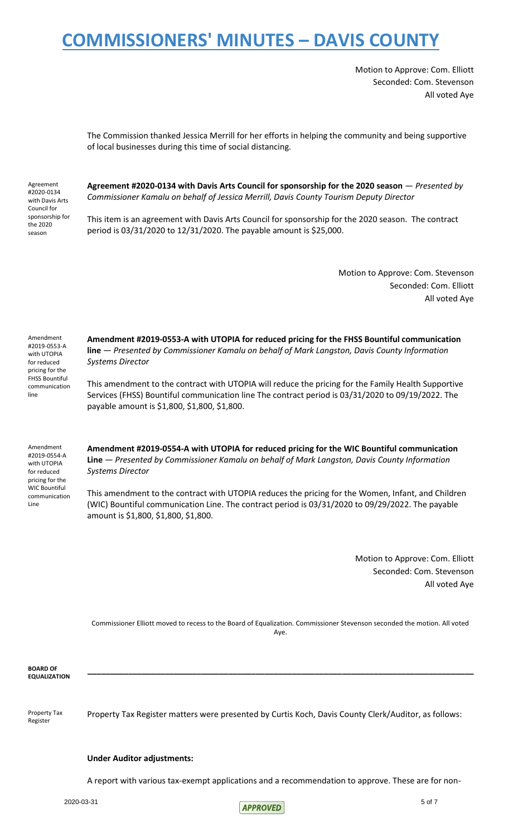Motion to Approve: Com. Elliott Seconded: Com. Stevenson All voted Aye

The Commission thanked Jessica Merrill for her efforts in helping the community and being supportive of local businesses during this time of social distancing.

Agreement #2020-0134 with Davis Arts Council for sponsorship for the 2020 season

**Agreement #2020-0134 with Davis Arts Council for sponsorship for the 2020 season** — *Presented by Commissioner Kamalu on behalf of Jessica Merrill, Davis County Tourism Deputy Director*

This item is an agreement with Davis Arts Council for sponsorship for the 2020 season. The contract period is 03/31/2020 to 12/31/2020. The payable amount is \$25,000.

> Motion to Approve: Com. Stevenson Seconded: Com. Elliott All voted Aye

Amendment #2019-0553-A with UTOPIA for reduced pricing for the FHSS Bountiful communication line

**Amendment #2019-0553-A with UTOPIA for reduced pricing for the FHSS Bountiful communication line** — *Presented by Commissioner Kamalu on behalf of Mark Langston, Davis County Information Systems Director*

This amendment to the contract with UTOPIA will reduce the pricing for the Family Health Supportive Services (FHSS) Bountiful communication line The contract period is 03/31/2020 to 09/19/2022. The payable amount is \$1,800, \$1,800, \$1,800.

Amendment #2019-0554-A with UTOPIA for reduced pricing for the WIC Bountiful communication Line

**Amendment #2019-0554-A with UTOPIA for reduced pricing for the WIC Bountiful communication Line** — *Presented by Commissioner Kamalu on behalf of Mark Langston, Davis County Information Systems Director*

This amendment to the contract with UTOPIA reduces the pricing for the Women, Infant, and Children (WIC) Bountiful communication Line. The contract period is 03/31/2020 to 09/29/2022. The payable amount is \$1,800, \$1,800, \$1,800.

> Motion to Approve: Com. Elliott Seconded: Com. Stevenson All voted Aye

Commissioner Elliott moved to recess to the Board of Equalization. Commissioner Stevenson seconded the motion. All voted Aye.

**\_\_\_\_\_\_\_\_\_\_\_\_\_\_\_\_\_\_\_\_\_\_\_\_\_\_\_\_\_\_\_\_\_\_\_\_\_\_\_\_\_\_\_\_\_\_\_\_\_\_\_\_\_\_\_\_\_\_\_\_\_\_\_\_\_\_\_\_\_\_\_\_\_\_\_\_\_\_\_\_\_\_\_\_\_**

**BOARD OF EQUALIZATION**

Property Tax Register

Property Tax Register matters were presented by Curtis Koch, Davis County Clerk/Auditor, as follows:

### **Under Auditor adjustments:**

A report with various tax-exempt applications and a recommendation to approve. These are for non-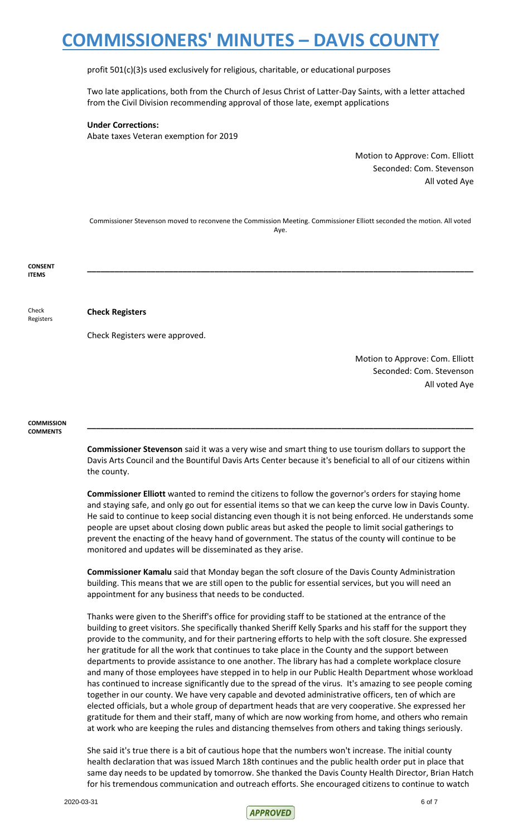profit 501(c)(3)s used exclusively for religious, charitable, or educational purposes

Two late applications, both from the Church of Jesus Christ of Latter-Day Saints, with a letter attached from the Civil Division recommending approval of those late, exempt applications

### **Under Corrections:**

Abate taxes Veteran exemption for 2019

Motion to Approve: Com. Elliott Seconded: Com. Stevenson All voted Aye

Commissioner Stevenson moved to reconvene the Commission Meeting. Commissioner Elliott seconded the motion. All voted Aye.

**CONSENT ITEMS \_\_\_\_\_\_\_\_\_\_\_\_\_\_\_\_\_\_\_\_\_\_\_\_\_\_\_\_\_\_\_\_\_\_\_\_\_\_\_\_\_\_\_\_\_\_\_\_\_\_\_\_\_\_\_\_\_\_\_\_\_\_\_\_\_\_\_\_\_\_\_\_\_\_\_\_\_\_\_\_\_\_\_\_\_**

Check

Registers

### **Check Registers**

Check Registers were approved.

Motion to Approve: Com. Elliott Seconded: Com. Stevenson All voted Aye

**COMMISSION COMMENTS**

> **Commissioner Stevenson** said it was a very wise and smart thing to use tourism dollars to support the Davis Arts Council and the Bountiful Davis Arts Center because it's beneficial to all of our citizens within the county.

> **\_\_\_\_\_\_\_\_\_\_\_\_\_\_\_\_\_\_\_\_\_\_\_\_\_\_\_\_\_\_\_\_\_\_\_\_\_\_\_\_\_\_\_\_\_\_\_\_\_\_\_\_\_\_\_\_\_\_\_\_\_\_\_\_\_\_\_\_\_\_\_\_\_\_\_\_\_\_\_\_\_\_\_\_\_**

**Commissioner Elliott** wanted to remind the citizens to follow the governor's orders for staying home and staying safe, and only go out for essential items so that we can keep the curve low in Davis County. He said to continue to keep social distancing even though it is not being enforced. He understands some people are upset about closing down public areas but asked the people to limit social gatherings to prevent the enacting of the heavy hand of government. The status of the county will continue to be monitored and updates will be disseminated as they arise.

**Commissioner Kamalu** said that Monday began the soft closure of the Davis County Administration building. This means that we are still open to the public for essential services, but you will need an appointment for any business that needs to be conducted.

Thanks were given to the Sheriff's office for providing staff to be stationed at the entrance of the building to greet visitors. She specifically thanked Sheriff Kelly Sparks and his staff for the support they provide to the community, and for their partnering efforts to help with the soft closure. She expressed her gratitude for all the work that continues to take place in the County and the support between departments to provide assistance to one another. The library has had a complete workplace closure and many of those employees have stepped in to help in our Public Health Department whose workload has continued to increase significantly due to the spread of the virus. It's amazing to see people coming together in our county. We have very capable and devoted administrative officers, ten of which are elected officials, but a whole group of department heads that are very cooperative. She expressed her gratitude for them and their staff, many of which are now working from home, and others who remain at work who are keeping the rules and distancing themselves from others and taking things seriously.

She said it's true there is a bit of cautious hope that the numbers won't increase. The initial county health declaration that was issued March 18th continues and the public health order put in place that same day needs to be updated by tomorrow. She thanked the Davis County Health Director, Brian Hatch for his tremendous communication and outreach efforts. She encouraged citizens to continue to watch